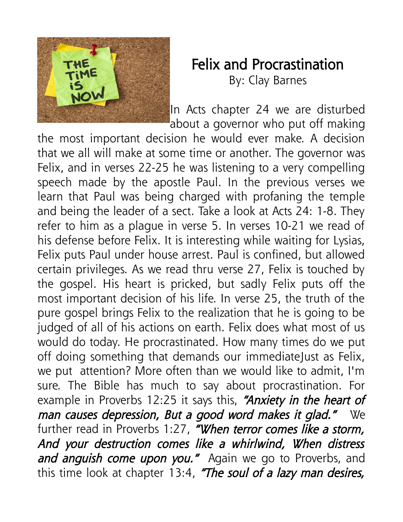

## Felix and Procrastination

By: Clay Barnes

In Acts chapter 24 we are disturbed about a governor who put off making

the most important decision he would ever make. A decision that we all will make at some time or another. The governor was Felix, and in verses 22-25 he was listening to a very compelling speech made by the apostle Paul. In the previous verses we learn that Paul was being charged with profaning the temple and being the leader of a sect. Take a look at Acts 24: 1-8. They refer to him as a plague in verse 5. In verses 10-21 we read of his defense before Felix. It is interesting while waiting for Lysias, Felix puts Paul under house arrest. Paul is confined, but allowed certain privileges. As we read thru verse 27, Felix is touched by the gospel. His heart is pricked, but sadly Felix puts off the most important decision of his life. In verse 25, the truth of the pure gospel brings Felix to the realization that he is going to be judged of all of his actions on earth. Felix does what most of us would do today. He procrastinated. How many times do we put off doing something that demands our immediateJust as Felix, we put attention? More often than we would like to admit, I'm sure. The Bible has much to say about procrastination. For example in Proverbs 12:25 it says this, "Anxiety in the heart of man causes depression, But a good word makes it glad." We further read in Proverbs 1:27, "When terror comes like a storm, And your destruction comes like a whirlwind, When distress and anguish come upon you." Again we go to Proverbs, and this time look at chapter  $13:4$ , "The soul of a lazy man desires,